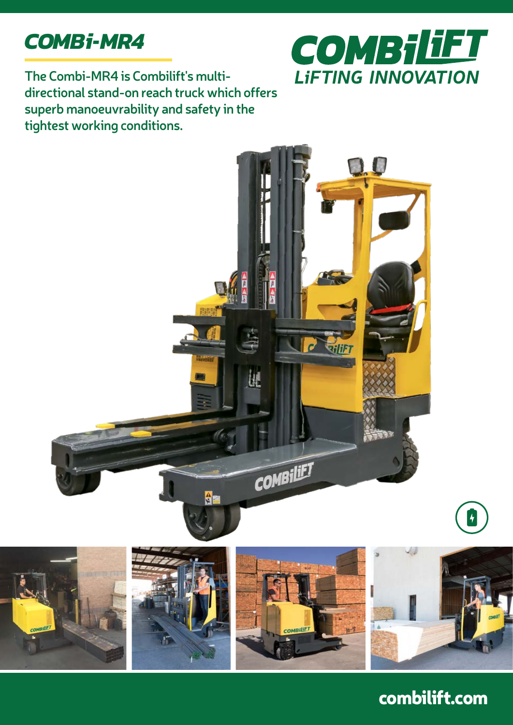



**The Combi-MR4 is Combilift's multidirectional stand-on reach truck which offers superb manoeuvrability and safety in the tightest working conditions.**



## combilift.com